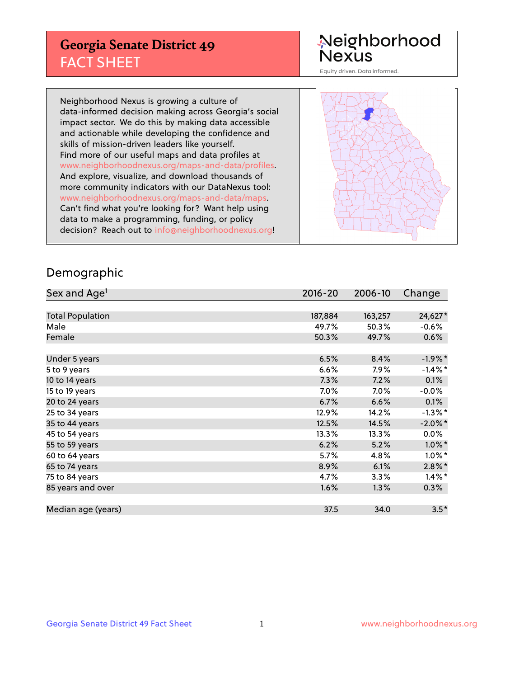#### **Georgia Senate District 49** FACT SHEET

# Neighborhood<br>Nexus

Equity driven. Data informed.

Neighborhood Nexus is growing a culture of data-informed decision making across Georgia's social impact sector. We do this by making data accessible and actionable while developing the confidence and skills of mission-driven leaders like yourself. Find more of our useful maps and data profiles at www.neighborhoodnexus.org/maps-and-data/profiles. And explore, visualize, and download thousands of more community indicators with our DataNexus tool: www.neighborhoodnexus.org/maps-and-data/maps. Can't find what you're looking for? Want help using data to make a programming, funding, or policy decision? Reach out to [info@neighborhoodnexus.org!](mailto:info@neighborhoodnexus.org)



#### Demographic

| Sex and Age <sup>1</sup> | $2016 - 20$ | 2006-10 | Change     |
|--------------------------|-------------|---------|------------|
|                          |             |         |            |
| <b>Total Population</b>  | 187,884     | 163,257 | 24,627*    |
| Male                     | 49.7%       | 50.3%   | $-0.6%$    |
| Female                   | 50.3%       | 49.7%   | $0.6\%$    |
|                          |             |         |            |
| Under 5 years            | 6.5%        | 8.4%    | $-1.9%$ *  |
| 5 to 9 years             | 6.6%        | $7.9\%$ | $-1.4\%$ * |
| 10 to 14 years           | 7.3%        | 7.2%    | 0.1%       |
| 15 to 19 years           | 7.0%        | 7.0%    | $-0.0%$    |
| 20 to 24 years           | 6.7%        | 6.6%    | 0.1%       |
| 25 to 34 years           | 12.9%       | 14.2%   | $-1.3\%$ * |
| 35 to 44 years           | 12.5%       | 14.5%   | $-2.0\%$ * |
| 45 to 54 years           | 13.3%       | 13.3%   | $0.0\%$    |
| 55 to 59 years           | 6.2%        | 5.2%    | $1.0\%$ *  |
| 60 to 64 years           | 5.7%        | 4.8%    | $1.0\%$ *  |
| 65 to 74 years           | 8.9%        | 6.1%    | $2.8\%$ *  |
| 75 to 84 years           | 4.7%        | 3.3%    | $1.4\%$ *  |
| 85 years and over        | 1.6%        | 1.3%    | 0.3%       |
|                          |             |         |            |
| Median age (years)       | 37.5        | 34.0    | $3.5*$     |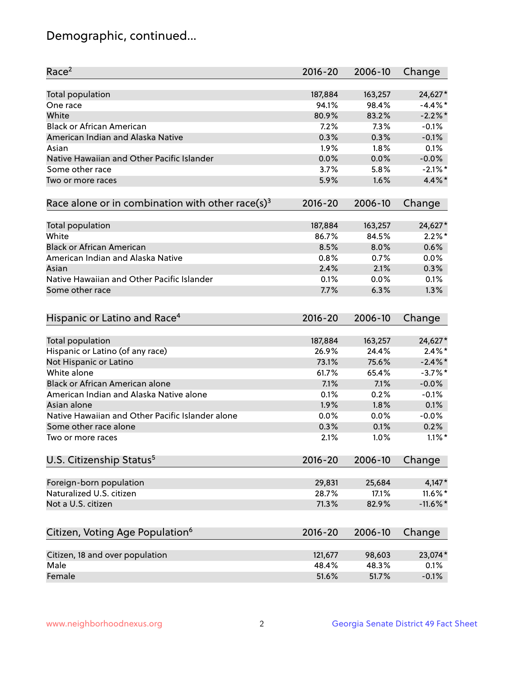# Demographic, continued...

| Race <sup>2</sup>                                            | $2016 - 20$ | 2006-10 | Change      |
|--------------------------------------------------------------|-------------|---------|-------------|
| Total population                                             | 187,884     | 163,257 | 24,627*     |
| One race                                                     | 94.1%       | 98.4%   | $-4.4\%$ *  |
| White                                                        | 80.9%       | 83.2%   | $-2.2\%$ *  |
| <b>Black or African American</b>                             | 7.2%        | 7.3%    | $-0.1%$     |
| American Indian and Alaska Native                            | 0.3%        | 0.3%    | $-0.1%$     |
| Asian                                                        | 1.9%        | 1.8%    | 0.1%        |
| Native Hawaiian and Other Pacific Islander                   | 0.0%        | 0.0%    | $-0.0%$     |
| Some other race                                              | 3.7%        | 5.8%    | $-2.1\%$ *  |
| Two or more races                                            | 5.9%        | 1.6%    | $4.4\%$ *   |
| Race alone or in combination with other race(s) <sup>3</sup> | $2016 - 20$ | 2006-10 | Change      |
| Total population                                             | 187,884     | 163,257 | 24,627*     |
| White                                                        | 86.7%       | 84.5%   | $2.2\%$ *   |
| <b>Black or African American</b>                             | 8.5%        | 8.0%    | 0.6%        |
| American Indian and Alaska Native                            | 0.8%        | 0.7%    | 0.0%        |
| Asian                                                        | 2.4%        | 2.1%    | 0.3%        |
| Native Hawaiian and Other Pacific Islander                   | 0.1%        | 0.0%    | 0.1%        |
| Some other race                                              | 7.7%        | 6.3%    | 1.3%        |
| Hispanic or Latino and Race <sup>4</sup>                     | $2016 - 20$ | 2006-10 | Change      |
| <b>Total population</b>                                      | 187,884     | 163,257 | 24,627*     |
| Hispanic or Latino (of any race)                             | 26.9%       | 24.4%   | $2.4\%$ *   |
| Not Hispanic or Latino                                       | 73.1%       | 75.6%   | $-2.4\%$ *  |
| White alone                                                  | 61.7%       | 65.4%   | $-3.7\%$ *  |
| <b>Black or African American alone</b>                       | 7.1%        | 7.1%    | $-0.0%$     |
| American Indian and Alaska Native alone                      | 0.1%        | 0.2%    | $-0.1%$     |
| Asian alone                                                  | 1.9%        | 1.8%    | 0.1%        |
| Native Hawaiian and Other Pacific Islander alone             | 0.0%        | 0.0%    | $-0.0%$     |
| Some other race alone                                        | 0.3%        | 0.1%    | 0.2%        |
| Two or more races                                            | 2.1%        | 1.0%    | $1.1\%$ *   |
| U.S. Citizenship Status <sup>5</sup>                         | $2016 - 20$ | 2006-10 | Change      |
| Foreign-born population                                      | 29,831      | 25,684  | $4,147*$    |
| Naturalized U.S. citizen                                     | 28.7%       | 17.1%   | 11.6%*      |
| Not a U.S. citizen                                           | 71.3%       | 82.9%   | $-11.6\%$ * |
|                                                              |             |         |             |
| Citizen, Voting Age Population <sup>6</sup>                  | $2016 - 20$ | 2006-10 | Change      |
| Citizen, 18 and over population                              | 121,677     | 98,603  | 23,074*     |
| Male                                                         | 48.4%       | 48.3%   | 0.1%        |
| Female                                                       | 51.6%       | 51.7%   | $-0.1%$     |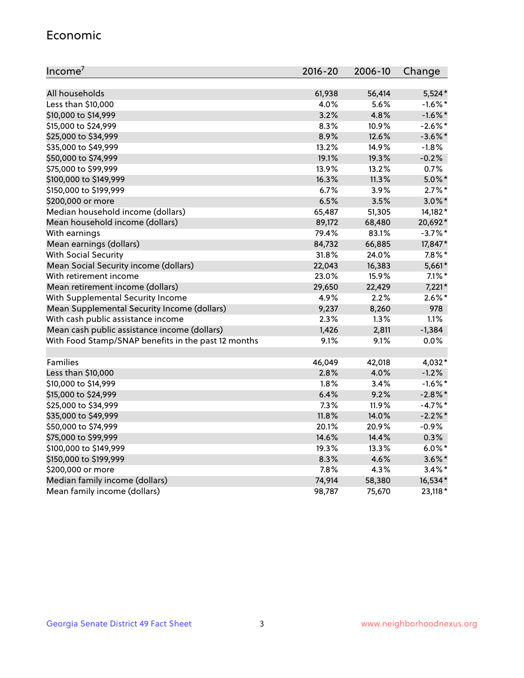#### Economic

| Income <sup>7</sup>                                 | 2016-20 | 2006-10 | Change     |
|-----------------------------------------------------|---------|---------|------------|
|                                                     |         |         |            |
| All households                                      | 61,938  | 56,414  | $5,524*$   |
| Less than \$10,000                                  | 4.0%    | 5.6%    | $-1.6\%$ * |
| \$10,000 to \$14,999                                | 3.2%    | 4.8%    | $-1.6\%$ * |
| \$15,000 to \$24,999                                | 8.3%    | 10.9%   | $-2.6\%$ * |
| \$25,000 to \$34,999                                | 8.9%    | 12.6%   | $-3.6\%$ * |
| \$35,000 to \$49,999                                | 13.2%   | 14.9%   | $-1.8%$    |
| \$50,000 to \$74,999                                | 19.1%   | 19.3%   | $-0.2%$    |
| \$75,000 to \$99,999                                | 13.9%   | 13.2%   | 0.7%       |
| \$100,000 to \$149,999                              | 16.3%   | 11.3%   | $5.0\%$ *  |
| \$150,000 to \$199,999                              | 6.7%    | 3.9%    | $2.7\%$ *  |
| \$200,000 or more                                   | 6.5%    | 3.5%    | $3.0\%$ *  |
| Median household income (dollars)                   | 65,487  | 51,305  | 14,182*    |
| Mean household income (dollars)                     | 89,172  | 68,480  | 20,692*    |
| With earnings                                       | 79.4%   | 83.1%   | $-3.7%$ *  |
| Mean earnings (dollars)                             | 84,732  | 66,885  | 17,847*    |
| <b>With Social Security</b>                         | 31.8%   | 24.0%   | $7.8\%$ *  |
| Mean Social Security income (dollars)               | 22,043  | 16,383  | 5,661*     |
| With retirement income                              | 23.0%   | 15.9%   | $7.1\%$ *  |
| Mean retirement income (dollars)                    | 29,650  | 22,429  | $7,221*$   |
| With Supplemental Security Income                   | 4.9%    | 2.2%    | $2.6\%$ *  |
| Mean Supplemental Security Income (dollars)         | 9,237   | 8,260   | 978        |
| With cash public assistance income                  | 2.3%    | 1.3%    | $1.1\%$    |
| Mean cash public assistance income (dollars)        | 1,426   | 2,811   | $-1,384$   |
| With Food Stamp/SNAP benefits in the past 12 months | 9.1%    | 9.1%    | 0.0%       |
|                                                     |         |         |            |
| Families                                            | 46,049  | 42,018  | 4,032*     |
| Less than \$10,000                                  | 2.8%    | 4.0%    | $-1.2%$    |
| \$10,000 to \$14,999                                | 1.8%    | 3.4%    | $-1.6\%$ * |
| \$15,000 to \$24,999                                | 6.4%    | 9.2%    | $-2.8\%$ * |
| \$25,000 to \$34,999                                | 7.3%    | 11.9%   | $-4.7%$ *  |
| \$35,000 to \$49,999                                | 11.8%   | 14.0%   | $-2.2%$ *  |
| \$50,000 to \$74,999                                | 20.1%   | 20.9%   | $-0.9%$    |
| \$75,000 to \$99,999                                | 14.6%   | 14.4%   | 0.3%       |
| \$100,000 to \$149,999                              | 19.3%   | 13.3%   | $6.0\%$ *  |
| \$150,000 to \$199,999                              | 8.3%    | 4.6%    | $3.6\%$ *  |
| \$200,000 or more                                   | 7.8%    | 4.3%    | $3.4\%$ *  |
| Median family income (dollars)                      | 74,914  | 58,380  | 16,534*    |
| Mean family income (dollars)                        | 98,787  | 75,670  | 23,118*    |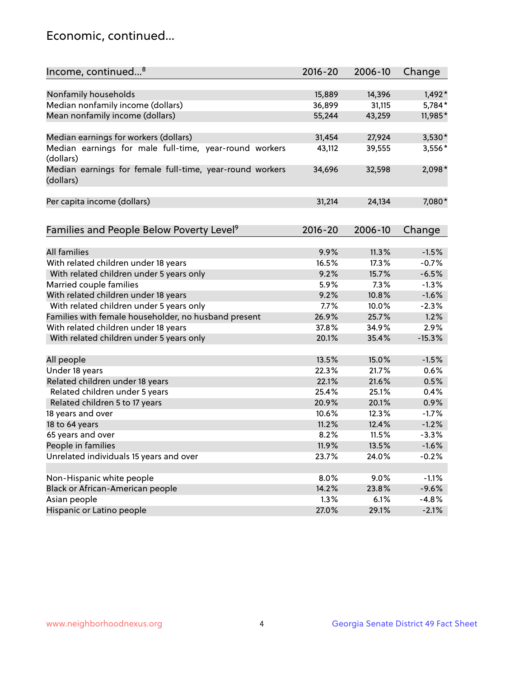#### Economic, continued...

| Income, continued <sup>8</sup>                           | $2016 - 20$ | 2006-10 | Change   |
|----------------------------------------------------------|-------------|---------|----------|
|                                                          |             |         |          |
| Nonfamily households                                     | 15,889      | 14,396  | 1,492*   |
| Median nonfamily income (dollars)                        | 36,899      | 31,115  | 5,784*   |
| Mean nonfamily income (dollars)                          | 55,244      | 43,259  | 11,985*  |
|                                                          |             |         |          |
| Median earnings for workers (dollars)                    | 31,454      | 27,924  | 3,530*   |
| Median earnings for male full-time, year-round workers   | 43,112      | 39,555  | 3,556*   |
| (dollars)                                                |             |         |          |
| Median earnings for female full-time, year-round workers | 34,696      | 32,598  | $2,098*$ |
| (dollars)                                                |             |         |          |
|                                                          |             |         |          |
| Per capita income (dollars)                              | 31,214      | 24,134  | 7,080*   |
|                                                          |             |         |          |
|                                                          | 2016-20     | 2006-10 |          |
| Families and People Below Poverty Level <sup>9</sup>     |             |         | Change   |
| <b>All families</b>                                      | 9.9%        | 11.3%   | $-1.5%$  |
| With related children under 18 years                     | 16.5%       | 17.3%   | $-0.7%$  |
| With related children under 5 years only                 | 9.2%        | 15.7%   | $-6.5%$  |
| Married couple families                                  | 5.9%        | 7.3%    | $-1.3%$  |
| With related children under 18 years                     | 9.2%        | 10.8%   | $-1.6%$  |
| With related children under 5 years only                 | 7.7%        | 10.0%   | $-2.3%$  |
| Families with female householder, no husband present     | 26.9%       | 25.7%   | 1.2%     |
| With related children under 18 years                     | 37.8%       | 34.9%   | 2.9%     |
|                                                          | 20.1%       |         | $-15.3%$ |
| With related children under 5 years only                 |             | 35.4%   |          |
| All people                                               | 13.5%       | 15.0%   | $-1.5%$  |
| Under 18 years                                           | 22.3%       | 21.7%   | 0.6%     |
| Related children under 18 years                          | 22.1%       | 21.6%   | 0.5%     |
| Related children under 5 years                           | 25.4%       | 25.1%   | 0.4%     |
| Related children 5 to 17 years                           | 20.9%       | 20.1%   | 0.9%     |
| 18 years and over                                        | 10.6%       | 12.3%   | $-1.7%$  |
| 18 to 64 years                                           | 11.2%       | 12.4%   | $-1.2%$  |
| 65 years and over                                        | 8.2%        | 11.5%   | $-3.3%$  |
| People in families                                       | 11.9%       | 13.5%   | $-1.6%$  |
| Unrelated individuals 15 years and over                  | 23.7%       | 24.0%   | $-0.2%$  |
|                                                          |             |         |          |
| Non-Hispanic white people                                | 8.0%        | 9.0%    | $-1.1%$  |
| Black or African-American people                         | 14.2%       | 23.8%   | $-9.6%$  |
| Asian people                                             | 1.3%        | 6.1%    | $-4.8%$  |
| Hispanic or Latino people                                | 27.0%       | 29.1%   | $-2.1%$  |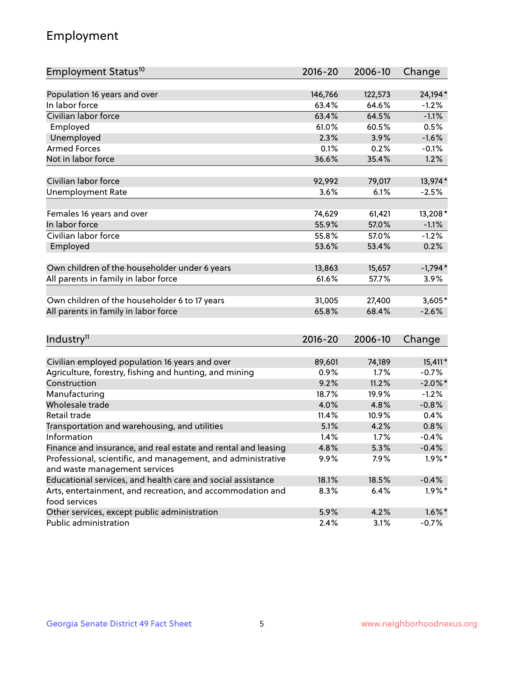# Employment

| Employment Status <sup>10</sup>                                                               | $2016 - 20$ | 2006-10 | Change     |
|-----------------------------------------------------------------------------------------------|-------------|---------|------------|
|                                                                                               |             |         |            |
| Population 16 years and over                                                                  | 146,766     | 122,573 | 24,194*    |
| In labor force                                                                                | 63.4%       | 64.6%   | $-1.2%$    |
| Civilian labor force                                                                          | 63.4%       | 64.5%   | $-1.1%$    |
| Employed                                                                                      | 61.0%       | 60.5%   | 0.5%       |
| Unemployed                                                                                    | 2.3%        | 3.9%    | $-1.6%$    |
| <b>Armed Forces</b>                                                                           | 0.1%        | 0.2%    | $-0.1%$    |
| Not in labor force                                                                            | 36.6%       | 35.4%   | 1.2%       |
|                                                                                               |             |         |            |
| Civilian labor force                                                                          | 92,992      | 79,017  | 13,974*    |
| <b>Unemployment Rate</b>                                                                      | 3.6%        | 6.1%    | $-2.5%$    |
| Females 16 years and over                                                                     | 74,629      | 61,421  | 13,208*    |
| In labor force                                                                                | 55.9%       | 57.0%   | $-1.1%$    |
| Civilian labor force                                                                          | 55.8%       | 57.0%   | $-1.2%$    |
| Employed                                                                                      | 53.6%       | 53.4%   | 0.2%       |
|                                                                                               |             |         |            |
| Own children of the householder under 6 years                                                 | 13,863      | 15,657  | $-1,794*$  |
| All parents in family in labor force                                                          | 61.6%       | 57.7%   | 3.9%       |
| Own children of the householder 6 to 17 years                                                 | 31,005      | 27,400  | $3,605*$   |
| All parents in family in labor force                                                          | 65.8%       | 68.4%   | $-2.6%$    |
|                                                                                               |             |         |            |
| Industry <sup>11</sup>                                                                        | $2016 - 20$ | 2006-10 | Change     |
|                                                                                               |             |         |            |
| Civilian employed population 16 years and over                                                | 89,601      | 74,189  | 15,411*    |
| Agriculture, forestry, fishing and hunting, and mining                                        | 0.9%        | 1.7%    | $-0.7%$    |
| Construction                                                                                  | 9.2%        | 11.2%   | $-2.0\%$ * |
| Manufacturing                                                                                 | 18.7%       | 19.9%   | $-1.2%$    |
| Wholesale trade                                                                               | 4.0%        | 4.8%    | $-0.8%$    |
| Retail trade                                                                                  | 11.4%       | 10.9%   | 0.4%       |
| Transportation and warehousing, and utilities                                                 | 5.1%        | 4.2%    | 0.8%       |
| Information                                                                                   | 1.4%        | 1.7%    | $-0.4%$    |
| Finance and insurance, and real estate and rental and leasing                                 | 4.8%        | 5.3%    | $-0.4%$    |
| Professional, scientific, and management, and administrative<br>and waste management services | $9.9\%$     | 7.9%    | $1.9\%$ *  |
| Educational services, and health care and social assistance                                   | 18.1%       | 18.5%   | $-0.4%$    |
| Arts, entertainment, and recreation, and accommodation and                                    | 8.3%        | 6.4%    | $1.9\%$ *  |
| food services                                                                                 |             |         |            |
| Other services, except public administration                                                  | 5.9%        | 4.2%    | $1.6\%$ *  |
| Public administration                                                                         | 2.4%        | 3.1%    | $-0.7%$    |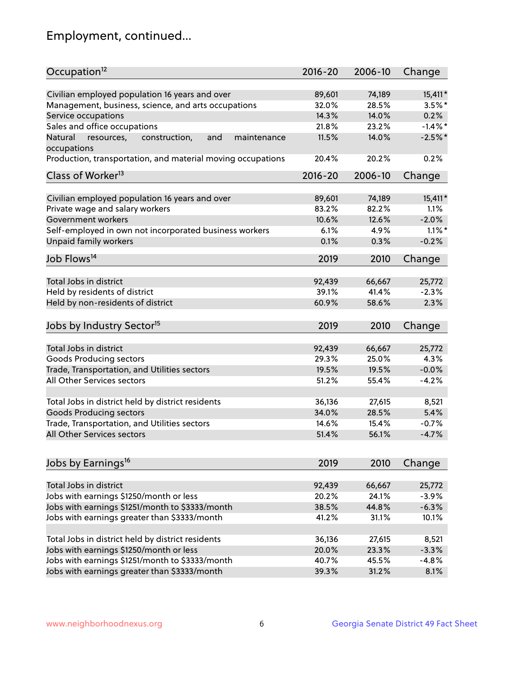# Employment, continued...

| Occupation <sup>12</sup>                                     | $2016 - 20$ | 2006-10 | Change     |
|--------------------------------------------------------------|-------------|---------|------------|
| Civilian employed population 16 years and over               | 89,601      | 74,189  | 15,411*    |
| Management, business, science, and arts occupations          | 32.0%       | 28.5%   | $3.5%$ *   |
| Service occupations                                          | 14.3%       | 14.0%   | 0.2%       |
| Sales and office occupations                                 | 21.8%       | 23.2%   | $-1.4\%$ * |
| and<br>maintenance<br>Natural<br>resources,<br>construction, | 11.5%       | 14.0%   | $-2.5%$ *  |
| occupations                                                  |             |         |            |
| Production, transportation, and material moving occupations  | 20.4%       | 20.2%   | 0.2%       |
| Class of Worker <sup>13</sup>                                | $2016 - 20$ | 2006-10 | Change     |
|                                                              |             |         |            |
| Civilian employed population 16 years and over               | 89,601      | 74,189  | 15,411*    |
| Private wage and salary workers                              | 83.2%       | 82.2%   | 1.1%       |
| Government workers                                           | 10.6%       | 12.6%   | $-2.0%$    |
| Self-employed in own not incorporated business workers       | 6.1%        | 4.9%    | $1.1\%$ *  |
| Unpaid family workers                                        | 0.1%        | 0.3%    | $-0.2%$    |
| Job Flows <sup>14</sup>                                      | 2019        | 2010    | Change     |
|                                                              |             |         |            |
| Total Jobs in district                                       | 92,439      | 66,667  | 25,772     |
| Held by residents of district                                | 39.1%       | 41.4%   | $-2.3%$    |
| Held by non-residents of district                            | 60.9%       | 58.6%   | 2.3%       |
| Jobs by Industry Sector <sup>15</sup>                        | 2019        | 2010    | Change     |
| Total Jobs in district                                       |             |         |            |
|                                                              | 92,439      | 66,667  | 25,772     |
| Goods Producing sectors                                      | 29.3%       | 25.0%   | 4.3%       |
| Trade, Transportation, and Utilities sectors                 | 19.5%       | 19.5%   | $-0.0%$    |
| All Other Services sectors                                   | 51.2%       | 55.4%   | $-4.2%$    |
| Total Jobs in district held by district residents            | 36,136      | 27,615  | 8,521      |
| <b>Goods Producing sectors</b>                               | 34.0%       | 28.5%   | 5.4%       |
| Trade, Transportation, and Utilities sectors                 | 14.6%       | 15.4%   | $-0.7%$    |
| All Other Services sectors                                   | 51.4%       | 56.1%   | $-4.7%$    |
|                                                              |             |         |            |
| Jobs by Earnings <sup>16</sup>                               | 2019        | 2010    | Change     |
|                                                              |             |         |            |
| Total Jobs in district                                       | 92,439      | 66,667  | 25,772     |
| Jobs with earnings \$1250/month or less                      | 20.2%       | 24.1%   | $-3.9%$    |
| Jobs with earnings \$1251/month to \$3333/month              | 38.5%       | 44.8%   | $-6.3%$    |
| Jobs with earnings greater than \$3333/month                 | 41.2%       | 31.1%   | 10.1%      |
| Total Jobs in district held by district residents            | 36,136      | 27,615  | 8,521      |
| Jobs with earnings \$1250/month or less                      | 20.0%       | 23.3%   | $-3.3%$    |
| Jobs with earnings \$1251/month to \$3333/month              | 40.7%       | 45.5%   | $-4.8%$    |
| Jobs with earnings greater than \$3333/month                 | 39.3%       | 31.2%   | 8.1%       |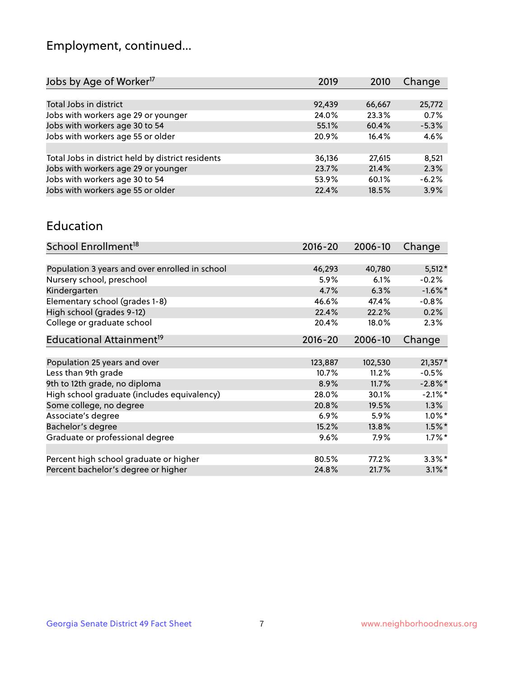# Employment, continued...

| 2019   | 2010   | Change  |
|--------|--------|---------|
|        |        |         |
| 92,439 | 66,667 | 25,772  |
| 24.0%  | 23.3%  | 0.7%    |
| 55.1%  | 60.4%  | $-5.3%$ |
| 20.9%  | 16.4%  | 4.6%    |
|        |        |         |
| 36,136 | 27,615 | 8,521   |
| 23.7%  | 21.4%  | 2.3%    |
| 53.9%  | 60.1%  | $-6.2%$ |
| 22.4%  | 18.5%  | 3.9%    |
|        |        |         |

#### Education

| School Enrollment <sup>18</sup>                | $2016 - 20$ | 2006-10 | Change     |
|------------------------------------------------|-------------|---------|------------|
|                                                |             |         |            |
| Population 3 years and over enrolled in school | 46,293      | 40,780  | $5,512*$   |
| Nursery school, preschool                      | 5.9%        | 6.1%    | $-0.2%$    |
| Kindergarten                                   | 4.7%        | 6.3%    | $-1.6\%$ * |
| Elementary school (grades 1-8)                 | 46.6%       | 47.4%   | $-0.8%$    |
| High school (grades 9-12)                      | 22.4%       | 22.2%   | 0.2%       |
| College or graduate school                     | 20.4%       | 18.0%   | 2.3%       |
| Educational Attainment <sup>19</sup>           | $2016 - 20$ | 2006-10 | Change     |
|                                                |             |         |            |
| Population 25 years and over                   | 123,887     | 102,530 | $21,357*$  |
| Less than 9th grade                            | 10.7%       | 11.2%   | $-0.5%$    |
| 9th to 12th grade, no diploma                  | 8.9%        | 11.7%   | $-2.8\%$ * |
| High school graduate (includes equivalency)    | 28.0%       | 30.1%   | $-2.1\%$ * |
| Some college, no degree                        | 20.8%       | 19.5%   | 1.3%       |
| Associate's degree                             | 6.9%        | 5.9%    | $1.0\%$ *  |
| Bachelor's degree                              | 15.2%       | 13.8%   | $1.5\%$ *  |
| Graduate or professional degree                | 9.6%        | 7.9%    | $1.7\%$ *  |
|                                                |             |         |            |
| Percent high school graduate or higher         | 80.5%       | 77.2%   | $3.3\%$ *  |
| Percent bachelor's degree or higher            | 24.8%       | 21.7%   | $3.1\%$ *  |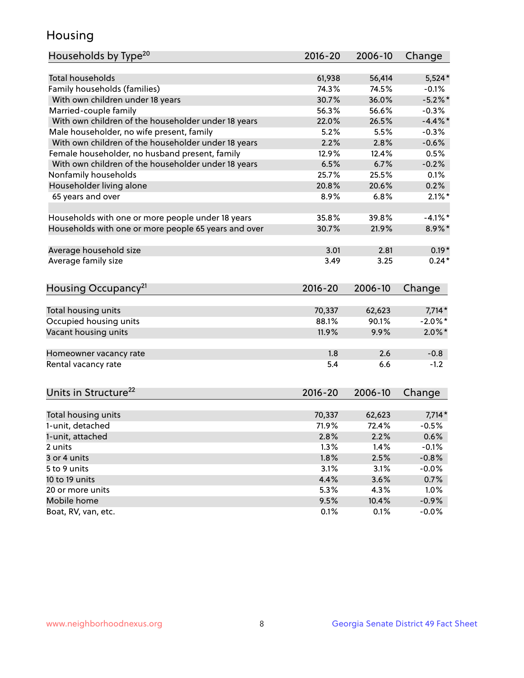#### Housing

| Households by Type <sup>20</sup>                     | 2016-20     | 2006-10 | Change     |
|------------------------------------------------------|-------------|---------|------------|
|                                                      |             |         |            |
| <b>Total households</b>                              | 61,938      | 56,414  | $5,524*$   |
| Family households (families)                         | 74.3%       | 74.5%   | $-0.1%$    |
| With own children under 18 years                     | 30.7%       | 36.0%   | $-5.2%$    |
| Married-couple family                                | 56.3%       | 56.6%   | $-0.3%$    |
| With own children of the householder under 18 years  | 22.0%       | 26.5%   | $-4.4\%$ * |
| Male householder, no wife present, family            | 5.2%        | 5.5%    | $-0.3%$    |
| With own children of the householder under 18 years  | 2.2%        | 2.8%    | $-0.6%$    |
| Female householder, no husband present, family       | 12.9%       | 12.4%   | 0.5%       |
| With own children of the householder under 18 years  | 6.5%        | 6.7%    | $-0.2%$    |
| Nonfamily households                                 | 25.7%       | 25.5%   | 0.1%       |
| Householder living alone                             | 20.8%       | 20.6%   | 0.2%       |
| 65 years and over                                    | 8.9%        | 6.8%    | $2.1\%$ *  |
| Households with one or more people under 18 years    | 35.8%       | 39.8%   | $-4.1\%$ * |
| Households with one or more people 65 years and over | 30.7%       | 21.9%   | 8.9%*      |
|                                                      |             |         |            |
| Average household size                               | 3.01        | 2.81    | $0.19*$    |
| Average family size                                  | 3.49        | 3.25    | $0.24*$    |
| Housing Occupancy <sup>21</sup>                      | $2016 - 20$ | 2006-10 | Change     |
| Total housing units                                  | 70,337      | 62,623  | $7,714*$   |
| Occupied housing units                               | 88.1%       | 90.1%   | $-2.0\%$ * |
| Vacant housing units                                 | 11.9%       | 9.9%    | $2.0\%$ *  |
|                                                      |             |         |            |
| Homeowner vacancy rate                               | 1.8         | 2.6     | $-0.8$     |
| Rental vacancy rate                                  | 5.4         | 6.6     | $-1.2$     |
| Units in Structure <sup>22</sup>                     | 2016-20     | 2006-10 | Change     |
| Total housing units                                  | 70,337      | 62,623  | $7,714*$   |
| 1-unit, detached                                     | 71.9%       | 72.4%   | $-0.5%$    |
| 1-unit, attached                                     | 2.8%        | 2.2%    | 0.6%       |
| 2 units                                              | 1.3%        | 1.4%    | $-0.1%$    |
| 3 or 4 units                                         | 1.8%        | 2.5%    | $-0.8%$    |
| 5 to 9 units                                         | 3.1%        | 3.1%    | $-0.0%$    |
| 10 to 19 units                                       | 4.4%        | 3.6%    | 0.7%       |
| 20 or more units                                     | 5.3%        | 4.3%    | 1.0%       |
| Mobile home                                          | 9.5%        | 10.4%   | $-0.9%$    |
| Boat, RV, van, etc.                                  | 0.1%        | 0.1%    | $-0.0%$    |
|                                                      |             |         |            |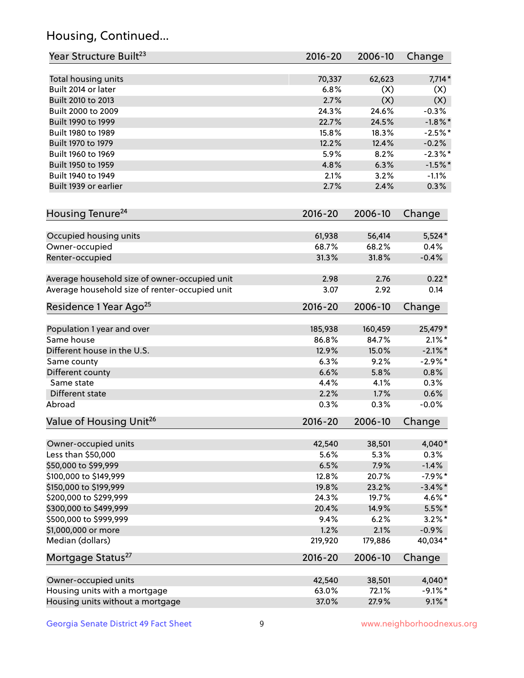# Housing, Continued...

| Year Structure Built <sup>23</sup>             | 2016-20     | 2006-10 | Change     |
|------------------------------------------------|-------------|---------|------------|
| Total housing units                            | 70,337      | 62,623  | $7,714*$   |
| Built 2014 or later                            | 6.8%        | (X)     | (X)        |
| Built 2010 to 2013                             | 2.7%        | (X)     | (X)        |
| Built 2000 to 2009                             | 24.3%       | 24.6%   | $-0.3%$    |
| Built 1990 to 1999                             | 22.7%       | 24.5%   | $-1.8\%$ * |
| Built 1980 to 1989                             | 15.8%       | 18.3%   | $-2.5%$ *  |
| Built 1970 to 1979                             | 12.2%       | 12.4%   | $-0.2%$    |
| Built 1960 to 1969                             | 5.9%        | 8.2%    | $-2.3\%$ * |
| Built 1950 to 1959                             | 4.8%        | 6.3%    | $-1.5%$ *  |
| Built 1940 to 1949                             | 2.1%        | 3.2%    | $-1.1%$    |
| Built 1939 or earlier                          | 2.7%        | 2.4%    | 0.3%       |
| Housing Tenure <sup>24</sup>                   | $2016 - 20$ | 2006-10 | Change     |
| Occupied housing units                         | 61,938      | 56,414  | $5,524*$   |
| Owner-occupied                                 | 68.7%       | 68.2%   | 0.4%       |
| Renter-occupied                                | 31.3%       | 31.8%   | $-0.4%$    |
| Average household size of owner-occupied unit  | 2.98        | 2.76    | $0.22*$    |
| Average household size of renter-occupied unit | 3.07        | 2.92    | 0.14       |
| Residence 1 Year Ago <sup>25</sup>             | $2016 - 20$ | 2006-10 | Change     |
| Population 1 year and over                     | 185,938     | 160,459 | 25,479*    |
| Same house                                     | 86.8%       | 84.7%   | $2.1\%$ *  |
| Different house in the U.S.                    | 12.9%       | 15.0%   | $-2.1\%$ * |
| Same county                                    | 6.3%        | 9.2%    | $-2.9\%$ * |
| Different county                               | 6.6%        | 5.8%    | 0.8%       |
| Same state                                     | 4.4%        | 4.1%    | 0.3%       |
| Different state                                | 2.2%        | 1.7%    | 0.6%       |
| Abroad                                         | 0.3%        | 0.3%    | $-0.0%$    |
| Value of Housing Unit <sup>26</sup>            | $2016 - 20$ | 2006-10 | Change     |
| Owner-occupied units                           | 42,540      | 38,501  | 4,040*     |
| Less than \$50,000                             | 5.6%        | 5.3%    | 0.3%       |
| \$50,000 to \$99,999                           | 6.5%        | 7.9%    | $-1.4%$    |
| \$100,000 to \$149,999                         | 12.8%       | 20.7%   | $-7.9%$ *  |
| \$150,000 to \$199,999                         | 19.8%       | 23.2%   | $-3.4\%$ * |
| \$200,000 to \$299,999                         | 24.3%       | 19.7%   | 4.6%*      |
| \$300,000 to \$499,999                         | 20.4%       | 14.9%   | $5.5%$ *   |
| \$500,000 to \$999,999                         | 9.4%        | 6.2%    | $3.2\%$ *  |
| \$1,000,000 or more                            | 1.2%        | 2.1%    | $-0.9%$    |
| Median (dollars)                               | 219,920     | 179,886 | 40,034*    |
| Mortgage Status <sup>27</sup>                  | $2016 - 20$ | 2006-10 | Change     |
| Owner-occupied units                           | 42,540      | 38,501  | 4,040*     |
| Housing units with a mortgage                  | 63.0%       | 72.1%   | $-9.1\%$ * |
| Housing units without a mortgage               | 37.0%       | 27.9%   | $9.1\%$ *  |
|                                                |             |         |            |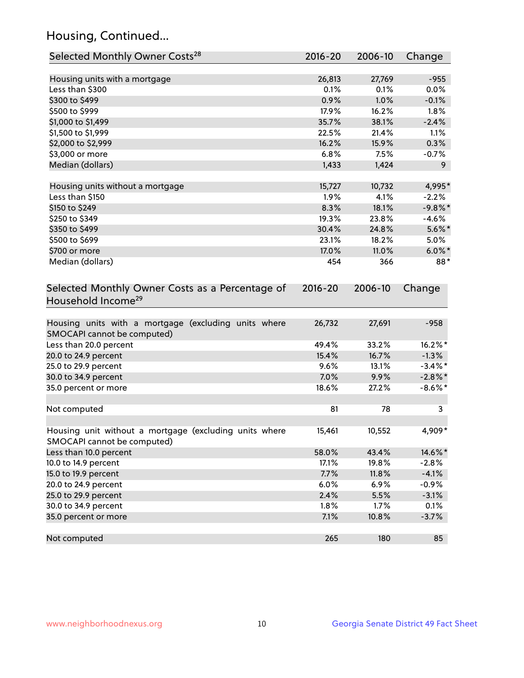# Housing, Continued...

| Selected Monthly Owner Costs <sup>28</sup>                                            | 2016-20     | 2006-10 | Change     |
|---------------------------------------------------------------------------------------|-------------|---------|------------|
| Housing units with a mortgage                                                         | 26,813      | 27,769  | $-955$     |
| Less than \$300                                                                       | 0.1%        | 0.1%    | 0.0%       |
| \$300 to \$499                                                                        | 0.9%        | 1.0%    | $-0.1%$    |
| \$500 to \$999                                                                        | 17.9%       | 16.2%   | 1.8%       |
| \$1,000 to \$1,499                                                                    | 35.7%       | 38.1%   | $-2.4%$    |
| \$1,500 to \$1,999                                                                    | 22.5%       | 21.4%   | 1.1%       |
| \$2,000 to \$2,999                                                                    | 16.2%       | 15.9%   | 0.3%       |
| \$3,000 or more                                                                       | 6.8%        | 7.5%    | $-0.7%$    |
| Median (dollars)                                                                      | 1,433       | 1,424   | 9          |
|                                                                                       |             |         |            |
| Housing units without a mortgage                                                      | 15,727      | 10,732  | 4,995*     |
| Less than \$150                                                                       | 1.9%        | 4.1%    | $-2.2%$    |
| \$150 to \$249                                                                        | 8.3%        | 18.1%   | $-9.8\%$ * |
| \$250 to \$349                                                                        | 19.3%       | 23.8%   | $-4.6%$    |
| \$350 to \$499                                                                        | 30.4%       | 24.8%   | $5.6\%$ *  |
| \$500 to \$699                                                                        | 23.1%       | 18.2%   | 5.0%       |
| \$700 or more                                                                         | 17.0%       | 11.0%   | $6.0\%$ *  |
| Median (dollars)                                                                      | 454         | 366     | 88*        |
| Selected Monthly Owner Costs as a Percentage of<br>Household Income <sup>29</sup>     | $2016 - 20$ | 2006-10 | Change     |
| Housing units with a mortgage (excluding units where<br>SMOCAPI cannot be computed)   | 26,732      | 27,691  | $-958$     |
| Less than 20.0 percent                                                                | 49.4%       | 33.2%   | 16.2%*     |
| 20.0 to 24.9 percent                                                                  | 15.4%       | 16.7%   | $-1.3%$    |
| 25.0 to 29.9 percent                                                                  | 9.6%        | 13.1%   | $-3.4\%$ * |
| 30.0 to 34.9 percent                                                                  | 7.0%        | 9.9%    | $-2.8\%$ * |
| 35.0 percent or more                                                                  | 18.6%       | 27.2%   | $-8.6\%$ * |
| Not computed                                                                          | 81          | 78      | 3          |
| Housing unit without a mortgage (excluding units where<br>SMOCAPI cannot be computed) | 15,461      | 10,552  | 4,909*     |
| Less than 10.0 percent                                                                | 58.0%       | 43.4%   | 14.6%*     |
| 10.0 to 14.9 percent                                                                  | 17.1%       | 19.8%   | $-2.8%$    |
| 15.0 to 19.9 percent                                                                  | 7.7%        | 11.8%   | $-4.1%$    |
| 20.0 to 24.9 percent                                                                  | 6.0%        | 6.9%    | $-0.9%$    |
| 25.0 to 29.9 percent                                                                  | 2.4%        | 5.5%    | $-3.1%$    |
| 30.0 to 34.9 percent                                                                  | 1.8%        | 1.7%    | 0.1%       |
| 35.0 percent or more                                                                  | 7.1%        | 10.8%   | $-3.7%$    |
| Not computed                                                                          | 265         | 180     | 85         |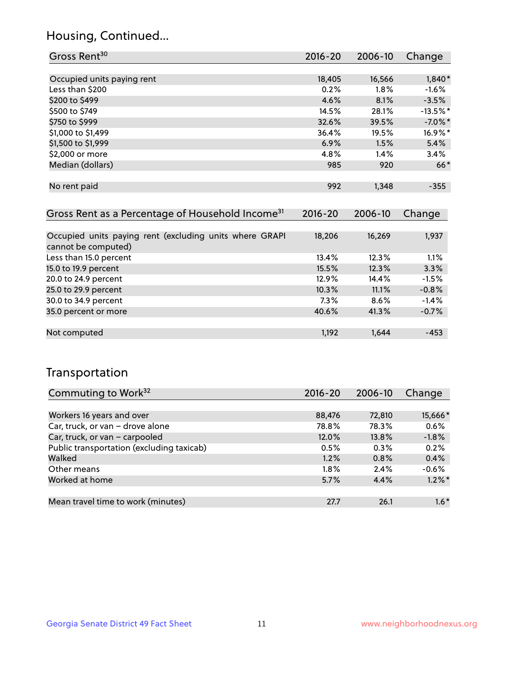#### Housing, Continued...

| Gross Rent <sup>30</sup>                                     | $2016 - 20$ | 2006-10 | Change     |
|--------------------------------------------------------------|-------------|---------|------------|
|                                                              |             |         |            |
| Occupied units paying rent                                   | 18,405      | 16,566  | $1,840*$   |
| Less than \$200                                              | 0.2%        | 1.8%    | $-1.6%$    |
| \$200 to \$499                                               | 4.6%        | 8.1%    | $-3.5%$    |
| \$500 to \$749                                               | 14.5%       | 28.1%   | $-13.5%$ * |
| \$750 to \$999                                               | 32.6%       | 39.5%   | $-7.0\%$ * |
| \$1,000 to \$1,499                                           | 36.4%       | 19.5%   | 16.9%*     |
| \$1,500 to \$1,999                                           | 6.9%        | 1.5%    | 5.4%       |
| \$2,000 or more                                              | 4.8%        | 1.4%    | 3.4%       |
| Median (dollars)                                             | 985         | 920     | $66*$      |
|                                                              |             |         |            |
| No rent paid                                                 | 992         | 1,348   | $-355$     |
|                                                              |             |         |            |
| Gross Rent as a Percentage of Household Income <sup>31</sup> | $2016 - 20$ | 2006-10 | Change     |
|                                                              |             |         |            |
| Occupied units paying rent (excluding units where GRAPI      | 18,206      | 16,269  | 1,937      |
| cannot be computed)                                          |             |         |            |
| Less than 15.0 percent                                       | 13.4%       | 12.3%   | 1.1%       |
| 15.0 to 19.9 percent                                         | 15.5%       | 12.3%   | 3.3%       |
| 20.0 to 24.9 percent                                         | 12.9%       | 14.4%   | $-1.5%$    |
| 25.0 to 29.9 percent                                         | 10.3%       | 11.1%   | $-0.8%$    |
| 30.0 to 34.9 percent                                         | 7.3%        | 8.6%    | $-1.4%$    |
| 35.0 percent or more                                         | 40.6%       | 41.3%   | $-0.7%$    |
|                                                              |             |         |            |

#### Not computed and the computed term in the computed of the computed computed the computed of the computed computed  $\sim$  453

#### Transportation

| Commuting to Work <sup>32</sup>           | 2016-20 | 2006-10 | Change    |
|-------------------------------------------|---------|---------|-----------|
|                                           |         |         |           |
| Workers 16 years and over                 | 88,476  | 72,810  | 15,666*   |
| Car, truck, or van - drove alone          | 78.8%   | 78.3%   | 0.6%      |
| Car, truck, or van - carpooled            | 12.0%   | 13.8%   | $-1.8%$   |
| Public transportation (excluding taxicab) | 0.5%    | 0.3%    | 0.2%      |
| Walked                                    | 1.2%    | 0.8%    | 0.4%      |
| Other means                               | $1.8\%$ | 2.4%    | $-0.6%$   |
| Worked at home                            | 5.7%    | 4.4%    | $1.2\%$ * |
|                                           |         |         |           |
| Mean travel time to work (minutes)        | 27.7    | 26.1    | $1.6*$    |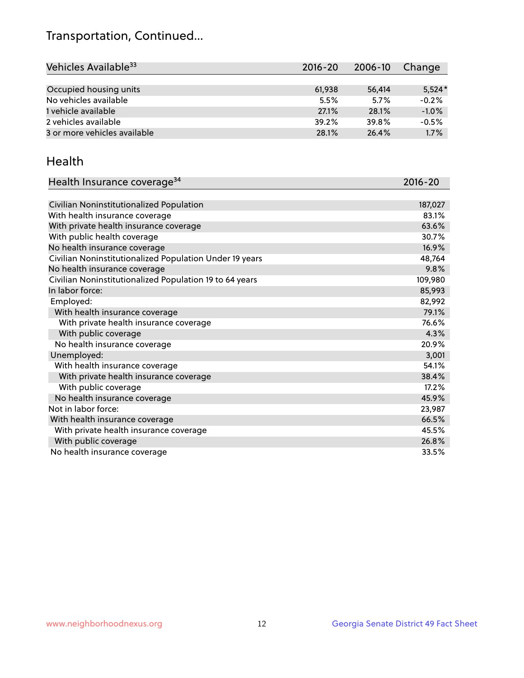# Transportation, Continued...

| Vehicles Available <sup>33</sup> | 2016-20 | 2006-10 | Change   |
|----------------------------------|---------|---------|----------|
|                                  |         |         |          |
| Occupied housing units           | 61.938  | 56,414  | $5,524*$ |
| No vehicles available            | 5.5%    | 5.7%    | $-0.2%$  |
| 1 vehicle available              | 27.1%   | 28.1%   | $-1.0%$  |
| 2 vehicles available             | 39.2%   | 39.8%   | $-0.5%$  |
| 3 or more vehicles available     | 28.1%   | 26.4%   | 1.7%     |

#### Health

| Health Insurance coverage <sup>34</sup>                 | 2016-20 |
|---------------------------------------------------------|---------|
|                                                         |         |
| Civilian Noninstitutionalized Population                | 187,027 |
| With health insurance coverage                          | 83.1%   |
| With private health insurance coverage                  | 63.6%   |
| With public health coverage                             | 30.7%   |
| No health insurance coverage                            | 16.9%   |
| Civilian Noninstitutionalized Population Under 19 years | 48,764  |
| No health insurance coverage                            | 9.8%    |
| Civilian Noninstitutionalized Population 19 to 64 years | 109,980 |
| In labor force:                                         | 85,993  |
| Employed:                                               | 82,992  |
| With health insurance coverage                          | 79.1%   |
| With private health insurance coverage                  | 76.6%   |
| With public coverage                                    | 4.3%    |
| No health insurance coverage                            | 20.9%   |
| Unemployed:                                             | 3,001   |
| With health insurance coverage                          | 54.1%   |
| With private health insurance coverage                  | 38.4%   |
| With public coverage                                    | 17.2%   |
| No health insurance coverage                            | 45.9%   |
| Not in labor force:                                     | 23,987  |
| With health insurance coverage                          | 66.5%   |
| With private health insurance coverage                  | 45.5%   |
| With public coverage                                    | 26.8%   |
| No health insurance coverage                            | 33.5%   |